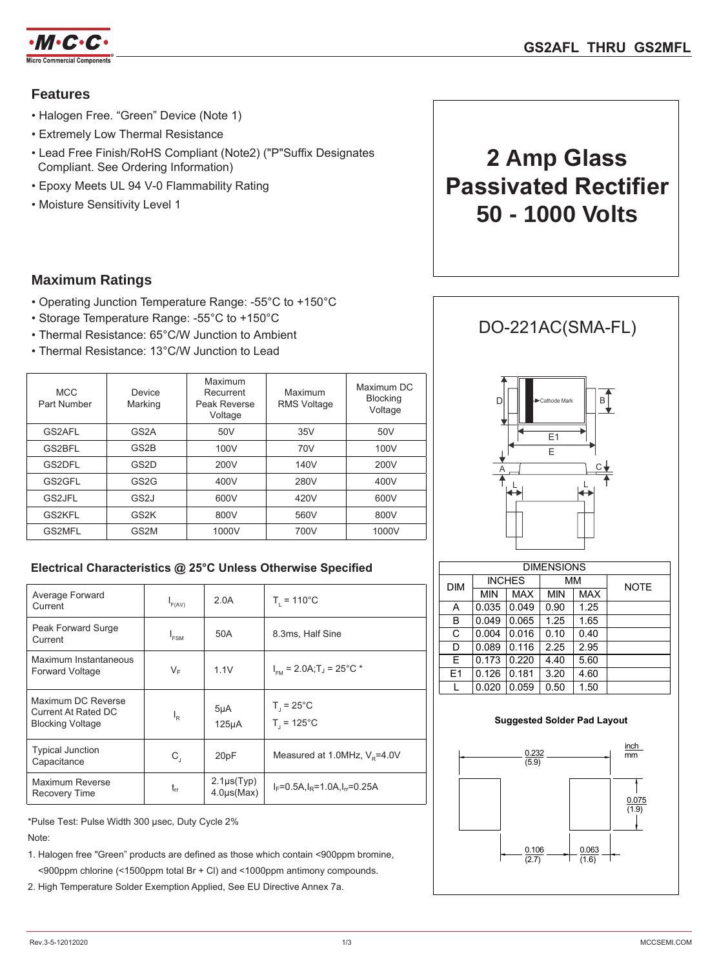

## **Features**

- Halogen Free. "Green" Device (Note 1)
- Extremely Low Thermal Resistance
- Lead Free Finish/RoHS Compliant (Note2) ("P"Suffix Designates Compliant. See Ordering Information)
- Epoxy Meets UL 94 V-0 Flammability Rating
- Moisture Sensitivity Level 1

## **Maximum Ratings**

- Operating Junction Temperature Range: -55°C to +150°C
- Storage Temperature Range: -55°C to +150°C
- Thermal Resistance: 65°C/W Junction to Ambient
- Thermal Resistance: 13°C/W Junction to Lead

| <b>MCC</b><br>Part Number | Device<br>Marking | Maximum<br>Recurrent<br>Peak Reverse<br>Voltage | Maximum<br><b>RMS Voltage</b> | Maximum DC<br><b>Blocking</b><br>Voltage |
|---------------------------|-------------------|-------------------------------------------------|-------------------------------|------------------------------------------|
| GS2AFL                    | GS <sub>2</sub> A | 50 <sub>V</sub>                                 | 35V                           | 50V                                      |
| GS2BFL                    | GS <sub>2</sub> B | 100V                                            | 70V                           | 100V                                     |
| GS2DFL                    | GS <sub>2</sub> D | 200V                                            | 140V                          | 200V                                     |
| GS2GFL                    | GS <sub>2</sub> G | 400V                                            | 280V                          | 400V                                     |
| GS2JFL                    | GS <sub>2</sub> J | 600V                                            | 420V                          | 600V                                     |
| GS2KFL                    | GS <sub>2</sub> K | 800V                                            | 560V                          | 800V                                     |
| GS2MFL                    | GS2M              | 1000V                                           | 700V                          | 1000V                                    |

### **Electrical Characteristics @ 25°C Unless Otherwise Specified**

| Average Forward<br>Current                                           | $I_{F(AV)}$ | 2.0A                                   | $T_{1} = 110^{\circ}C$                          |  |
|----------------------------------------------------------------------|-------------|----------------------------------------|-------------------------------------------------|--|
| Peak Forward Surge<br>Current                                        | $I_{FSM}$   | 50A                                    | 8.3ms, Half Sine                                |  |
| Maximum Instantaneous<br>Forward Voltage                             | VF          | 1.1V                                   | $I_{\text{em}}$ = 2.0A; T <sub>J</sub> = 25°C * |  |
| Maximum DC Reverse<br>Current At Rated DC<br><b>Blocking Voltage</b> | ı,          | 5 <sub>µ</sub> A<br>125 <sub>µ</sub> A | $T_{1} = 25^{\circ}C$<br>$T_{1} = 125^{\circ}C$ |  |
| <b>Typical Junction</b><br>Capacitance                               | $C_{\rm J}$ | 20pF                                   | Measured at 1.0MHz, $V_e$ =4.0V                 |  |
| Maximum Reverse<br>Recovery Time                                     | $t_{rr}$    | $2.1\mu s(Typ)$<br>$4.0\mu s(Max)$     | $I_F = 0.5A$ , $I_R = 1.0A$ , $I_T = 0.25A$     |  |

\*Pulse Test: Pulse Width 300 µsec, Duty Cycle 2%

Note:

1. Halogen free "Green" products are defined as those which contain <900ppm bromine, <900ppm chlorine (<1500ppm total Br + Cl) and <1000ppm antimony compounds.

2. High Temperature Solder Exemption Applied, See EU Directive Annex 7a.

# **2 Amp Glass Passivated Rectifier 50 - 1000 Volts**

## DO-221AC(SMA-FL)



| <b>DIMENSIONS</b> |               |            |            |            |             |  |
|-------------------|---------------|------------|------------|------------|-------------|--|
| <b>DIM</b>        | <b>INCHES</b> |            | МM         |            | <b>NOTE</b> |  |
|                   | <b>MIN</b>    | <b>MAX</b> | <b>MIN</b> | <b>MAX</b> |             |  |
| A                 | 0.035         | 0.049      | 0.90       | 1.25       |             |  |
| B                 | 0.049         | 0.065      | 1.25       | 1.65       |             |  |
| C                 | 0.004         | 0.016      | 0.10       | 0.40       |             |  |
| D                 | 0.089         | 0.116      | 2.25       | 2.95       |             |  |
| E                 | 0.173         | 0.220      | 4.40       | 5.60       |             |  |
| E1                | 0.126         | 0.181      | 3.20       | 4.60       |             |  |
|                   | 0.020         | 0.059      | 0.50       | 1.50       |             |  |

#### **Suggested Solder Pad Layout**

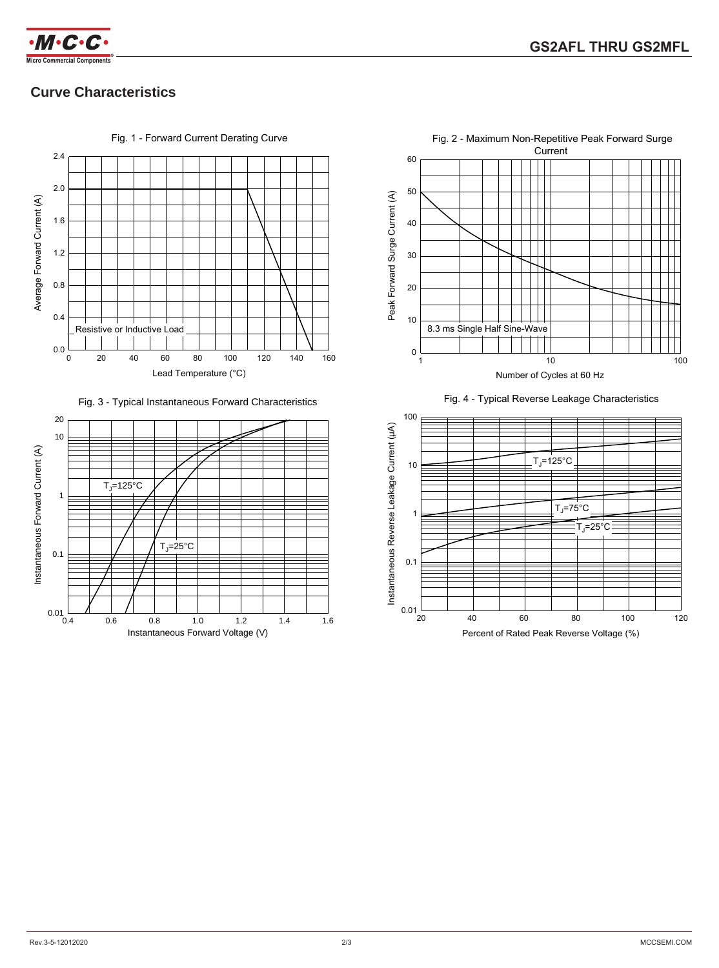

## **Curve Characteristics**